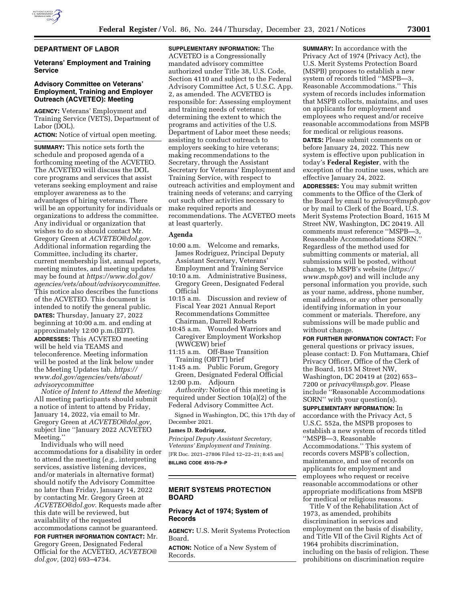

# **DEPARTMENT OF LABOR**

# **Veterans' Employment and Training Service**

# **Advisory Committee on Veterans' Employment, Training and Employer Outreach (ACVETEO): Meeting**

**AGENCY:** Veterans' Employment and Training Service (VETS), Department of Labor (DOL).

**ACTION:** Notice of virtual open meeting.

**SUMMARY:** This notice sets forth the schedule and proposed agenda of a forthcoming meeting of the ACVETEO. The ACVETEO will discuss the DOL core programs and services that assist veterans seeking employment and raise employer awareness as to the advantages of hiring veterans. There will be an opportunity for individuals or organizations to address the committee. Any individual or organization that wishes to do so should contact Mr. Gregory Green at *[ACVETEO@dol.gov](mailto:ACVETEO@dol.gov)*. Additional information regarding the Committee, including its charter, current membership list, annual reports, meeting minutes, and meeting updates may be found at *[https://www.dol.gov/](https://www.dol.gov/agencies/vets/about/advisorycommittee)  [agencies/vets/about/advisorycommittee](https://www.dol.gov/agencies/vets/about/advisorycommittee)*. This notice also describes the functions of the ACVETEO. This document is intended to notify the general public. **DATES:** Thursday, January 27, 2022 beginning at 10:00 a.m. and ending at approximately 12:00 p.m.(EDT). **ADDRESSES:** This ACVETEO meeting will be held via TEAMS and teleconference. Meeting information will be posted at the link below under the Meeting Updates tab. *[https://](https://www.dol.gov/agencies/vets/about/advisorycommittee) [www.dol.gov/agencies/vets/about/](https://www.dol.gov/agencies/vets/about/advisorycommittee) [advisorycommittee](https://www.dol.gov/agencies/vets/about/advisorycommittee)* 

*Notice of Intent to Attend the Meeting:*  All meeting participants should submit a notice of intent to attend by Friday, January 14, 2022, via email to Mr. Gregory Green at *[ACVETEO@dol.gov,](mailto:ACVETEO@dol.gov)*  subject line ''January 2022 ACVETEO Meeting.''

Individuals who will need accommodations for a disability in order to attend the meeting (*e.g.,* interpreting services, assistive listening devices, and/or materials in alternative format) should notify the Advisory Committee no later than Friday, January 14, 2022 by contacting Mr. Gregory Green at *[ACVETEO@dol.gov](mailto:ACVETEO@dol.gov)*. Requests made after this date will be reviewed, but availability of the requested accommodations cannot be guaranteed.

**FOR FURTHER INFORMATION CONTACT:** Mr. Gregory Green, Designated Federal Official for the ACVETEO, *[ACVETEO@](mailto:ACVETEO@dol.gov) [dol.gov,](mailto:ACVETEO@dol.gov)* (202) 693–4734.

**SUPPLEMENTARY INFORMATION:** The ACVETEO is a Congressionally mandated advisory committee authorized under Title 38, U.S. Code, Section 4110 and subject to the Federal Advisory Committee Act, 5 U.S.C. App. 2, as amended. The ACVETEO is responsible for: Assessing employment and training needs of veterans; determining the extent to which the programs and activities of the U.S. Department of Labor meet these needs; assisting to conduct outreach to employers seeking to hire veterans; making recommendations to the Secretary, through the Assistant Secretary for Veterans' Employment and Training Service, with respect to outreach activities and employment and training needs of veterans; and carrying out such other activities necessary to make required reports and recommendations. The ACVETEO meets at least quarterly.

# **Agenda**

- 10:00 a.m. Welcome and remarks, James Rodriguez, Principal Deputy Assistant Secretary, Veterans' Employment and Training Service
- 10:10 a.m. Administrative Business, Gregory Green, Designated Federal Official
- 10:15 a.m. Discussion and review of Fiscal Year 2021 Annual Report Recommendations Committee Chairman, Darrell Roberts
- 10:45 a.m. Wounded Warriors and Caregiver Employment Workshop (WWCEW) brief
- 11:15 a.m. Off-Base Transition Training (OBTT) brief
- 11:45 a.m. Public Forum, Gregory Green, Designated Federal Official 12:00 p.m. Adjourn

*Authority:* Notice of this meeting is required under Section 10(a)(2) of the Federal Advisory Committee Act.

Signed in Washington, DC, this 17th day of December 2021.

#### **James D. Rodriquez,**

*Principal Deputy Assistant Secretary, Veterans' Employment and Training.*  [FR Doc. 2021–27806 Filed 12–22–21; 8:45 am] **BILLING CODE 4510–79–P** 

# **MERIT SYSTEMS PROTECTION BOARD**

# **Privacy Act of 1974; System of Records**

**AGENCY:** U.S. Merit Systems Protection Board.

**ACTION:** Notice of a New System of Records.

**SUMMARY:** In accordance with the Privacy Act of 1974 (Privacy Act), the U.S. Merit Systems Protection Board (MSPB) proposes to establish a new system of records titled ''MSPB—3, Reasonable Accommodations.'' This system of records includes information that MSPB collects, maintains, and uses on applicants for employment and employees who request and/or receive reasonable accommodations from MSPB for medical or religious reasons. **DATES:** Please submit comments on or before January 24, 2022. This new system is effective upon publication in today's **Federal Register**, with the exception of the routine uses, which are effective January 24, 2022.

**ADDRESSES:** You may submit written comments to the Office of the Clerk of the Board by email to *[privacy@mspb.gov](mailto:privacy@mspb.gov)*  or by mail to Clerk of the Board, U.S. Merit Systems Protection Board, 1615 M Street NW, Washington, DC 20419. All comments must reference ''MSPB—3, Reasonable Accommodations SORN.'' Regardless of the method used for submitting comments or material, all submissions will be posted, without change, to MSPB's website (*[https://](https://www.mspb.gov) [www.mspb.gov](https://www.mspb.gov)*) and will include any personal information you provide, such as your name, address, phone number, email address, or any other personally identifying information in your comment or materials. Therefore, any submissions will be made public and without change.

**FOR FURTHER INFORMATION CONTACT:** For general questions or privacy issues, please contact: D. Fon Muttamara, Chief Privacy Officer, Office of the Clerk of the Board, 1615 M Street NW, Washington, DC 20419 at (202) 653– 7200 or *[privacy@mspb.gov.](mailto:privacy@mspb.gov)* Please include ''Reasonable Accommodations SORN'' with your question(s).

**SUPPLEMENTARY INFORMATION:** In accordance with the Privacy Act, 5 U.S.C. 552a, the MSPB proposes to establish a new system of records titled ''MSPB—3, Reasonable Accommodations.'' This system of records covers MSPB's collection, maintenance, and use of records on applicants for employment and employees who request or receive reasonable accommodations or other appropriate modifications from MSPB for medical or religious reasons.

Title V of the Rehabilitation Act of 1973, as amended, prohibits discrimination in services and employment on the basis of disability, and Title VII of the Civil Rights Act of 1964 prohibits discrimination, including on the basis of religion. These prohibitions on discrimination require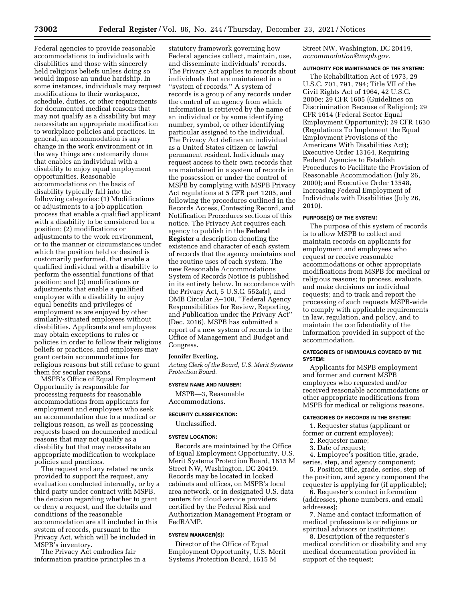Federal agencies to provide reasonable accommodations to individuals with disabilities and those with sincerely held religious beliefs unless doing so would impose an undue hardship. In some instances, individuals may request modifications to their workspace, schedule, duties, or other requirements for documented medical reasons that may not qualify as a disability but may necessitate an appropriate modification to workplace policies and practices. In general, an accommodation is any change in the work environment or in the way things are customarily done that enables an individual with a disability to enjoy equal employment opportunities. Reasonable accommodations on the basis of disability typically fall into the following categories: (1) Modifications or adjustments to a job application process that enable a qualified applicant with a disability to be considered for a position; (2) modifications or adjustments to the work environment, or to the manner or circumstances under which the position held or desired is customarily performed, that enable a qualified individual with a disability to perform the essential functions of that position; and (3) modifications or adjustments that enable a qualified employee with a disability to enjoy equal benefits and privileges of employment as are enjoyed by other similarly-situated employees without disabilities. Applicants and employees may obtain exceptions to rules or policies in order to follow their religious beliefs or practices, and employers may grant certain accommodations for religious reasons but still refuse to grant them for secular reasons.

MSPB's Office of Equal Employment Opportunity is responsible for processing requests for reasonable accommodations from applicants for employment and employees who seek an accommodation due to a medical or religious reason, as well as processing requests based on documented medical reasons that may not qualify as a disability but that may necessitate an appropriate modification to workplace policies and practices.

The request and any related records provided to support the request, any evaluation conducted internally, or by a third party under contract with MSPB, the decision regarding whether to grant or deny a request, and the details and conditions of the reasonable accommodation are all included in this system of records, pursuant to the Privacy Act, which will be included in MSPB's inventory.

The Privacy Act embodies fair information practice principles in a

statutory framework governing how Federal agencies collect, maintain, use, and disseminate individuals' records. The Privacy Act applies to records about individuals that are maintained in a ''system of records.'' A system of records is a group of any records under the control of an agency from which information is retrieved by the name of an individual or by some identifying number, symbol, or other identifying particular assigned to the individual. The Privacy Act defines an individual as a United States citizen or lawful permanent resident. Individuals may request access to their own records that are maintained in a system of records in the possession or under the control of MSPB by complying with MSPB Privacy Act regulations at 5 CFR part 1205, and following the procedures outlined in the Records Access, Contesting Record, and Notification Procedures sections of this notice. The Privacy Act requires each agency to publish in the **Federal Register** a description denoting the existence and character of each system of records that the agency maintains and the routine uses of each system. The new Reasonable Accommodations System of Records Notice is published in its entirety below. In accordance with the Privacy Act, 5 U.S.C. 552a(r), and OMB Circular A–108, ''Federal Agency Responsibilities for Review, Reporting, and Publication under the Privacy Act'' (Dec. 2016), MSPB has submitted a report of a new system of records to the Office of Management and Budget and Congress.

#### **Jennifer Everling,**

*Acting Clerk of the Board, U.S. Merit Systems Protection Board.* 

#### **SYSTEM NAME AND NUMBER:**

MSPB—3, Reasonable Accommodations.

# **SECURITY CLASSIFICATION:**  Unclassified.

# **SYSTEM LOCATION:**

Records are maintained by the Office of Equal Employment Opportunity, U.S. Merit Systems Protection Board, 1615 M Street NW, Washington, DC 20419. Records may be located in locked cabinets and offices, on MSPB's local area network, or in designated U.S. data centers for cloud service providers certified by the Federal Risk and Authorization Management Program or FedRAMP.

### **SYSTEM MANAGER(S):**

Director of the Office of Equal Employment Opportunity, U.S. Merit Systems Protection Board, 1615 M

Street NW, Washington, DC 20419, *[accommodation@mspb.gov.](mailto:accommodation@mspb.gov)* 

# **AUTHORITY FOR MAINTENANCE OF THE SYSTEM:**

The Rehabilitation Act of 1973, 29 U.S.C. 701, 791, 794; Title VII of the Civil Rights Act of 1964, 42 U.S.C. 2000e; 29 CFR 1605 (Guidelines on Discrimination Because of Religion); 29 CFR 1614 (Federal Sector Equal Employment Opportunity); 29 CFR 1630 (Regulations To Implement the Equal Employment Provisions of the Americans With Disabilities Act); Executive Order 13164, Requiring Federal Agencies to Establish Procedures to Facilitate the Provision of Reasonable Accommodation (July 26, 2000); and Executive Order 13548, Increasing Federal Employment of Individuals with Disabilities (July 26, 2010).

#### **PURPOSE(S) OF THE SYSTEM:**

The purpose of this system of records is to allow MSPB to collect and maintain records on applicants for employment and employees who request or receive reasonable accommodations or other appropriate modifications from MSPB for medical or religious reasons; to process, evaluate, and make decisions on individual requests; and to track and report the processing of such requests MSPB-wide to comply with applicable requirements in law, regulation, and policy, and to maintain the confidentiality of the information provided in support of the accommodation.

### **CATEGORIES OF INDIVIDUALS COVERED BY THE SYSTEM:**

Applicants for MSPB employment and former and current MSPB employees who requested and/or received reasonable accommodations or other appropriate modifications from MSPB for medical or religious reasons.

#### **CATEGORIES OF RECORDS IN THE SYSTEM:**

1. Requester status (applicant or former or current employee);

- 2. Requester name;
- 3. Date of request;

4. Employee's position title, grade, series, step, and agency component;

5. Position title, grade, series, step of the position, and agency component the requester is applying for (if applicable);

6. Requester's contact information (addresses, phone numbers, and email addresses);

7. Name and contact information of medical professionals or religious or spiritual advisors or institutions;

8. Description of the requester's medical condition or disability and any medical documentation provided in support of the request;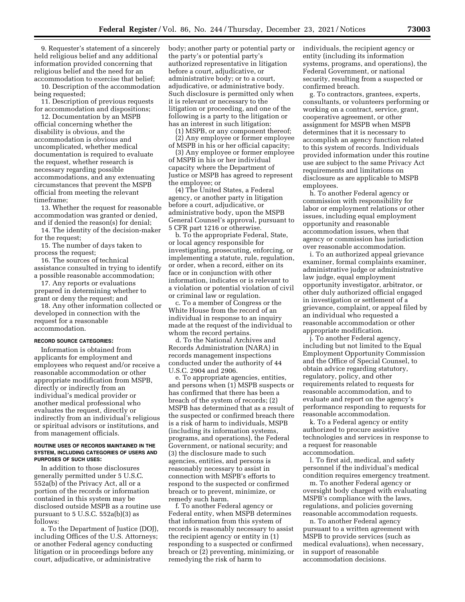9. Requester's statement of a sincerely held religious belief and any additional information provided concerning that religious belief and the need for an accommodation to exercise that belief;

10. Description of the accommodation being requested;

11. Description of previous requests for accommodation and dispositions;

12. Documentation by an MSPB official concerning whether the disability is obvious, and the accommodation is obvious and uncomplicated, whether medical documentation is required to evaluate the request, whether research is necessary regarding possible accommodations, and any extenuating circumstances that prevent the MSPB official from meeting the relevant timeframe;

13. Whether the request for reasonable accommodation was granted or denied, and if denied the reason(s) for denial;

14. The identity of the decision-maker for the request;

15. The number of days taken to process the request;

16. The sources of technical assistance consulted in trying to identify a possible reasonable accommodation;

17. Any reports or evaluations prepared in determining whether to grant or deny the request; and

18. Any other information collected or developed in connection with the request for a reasonable accommodation.

#### **RECORD SOURCE CATEGORIES:**

Information is obtained from applicants for employment and employees who request and/or receive a reasonable accommodation or other appropriate modification from MSPB, directly or indirectly from an individual's medical provider or another medical professional who evaluates the request, directly or indirectly from an individual's religious or spiritual advisors or institutions, and from management officials.

### **ROUTINE USES OF RECORDS MAINTAINED IN THE SYSTEM, INCLUDING CATEGORIES OF USERS AND PURPOSES OF SUCH USES:**

In addition to those disclosures generally permitted under 5 U.S.C. 552a(b) of the Privacy Act, all or a portion of the records or information contained in this system may be disclosed outside MSPB as a routine use pursuant to  $5$  U.S.C.  $552a(b)(3)$  as follows:

a. To the Department of Justice (DOJ), including Offices of the U.S. Attorneys; or another Federal agency conducting litigation or in proceedings before any court, adjudicative, or administrative

body; another party or potential party or the party's or potential party's authorized representative in litigation before a court, adjudicative, or administrative body; or to a court, adjudicative, or administrative body. Such disclosure is permitted only when it is relevant or necessary to the litigation or proceeding, and one of the following is a party to the litigation or has an interest in such litigation:

(1) MSPB, or any component thereof; (2) Any employee or former employee of MSPB in his or her official capacity;

(3) Any employee or former employee of MSPB in his or her individual capacity where the Department of Justice or MSPB has agreed to represent the employee; or

(4) The United States, a Federal agency, or another party in litigation before a court, adjudicative, or administrative body, upon the MSPB General Counsel's approval, pursuant to 5 CFR part 1216 or otherwise.

b. To the appropriate Federal, State, or local agency responsible for investigating, prosecuting, enforcing, or implementing a statute, rule, regulation, or order, when a record, either on its face or in conjunction with other information, indicates or is relevant to a violation or potential violation of civil or criminal law or regulation.

c. To a member of Congress or the White House from the record of an individual in response to an inquiry made at the request of the individual to whom the record pertains.

d. To the National Archives and Records Administration (NARA) in records management inspections conducted under the authority of 44 U.S.C. 2904 and 2906.

e. To appropriate agencies, entities, and persons when (1) MSPB suspects or has confirmed that there has been a breach of the system of records; (2) MSPB has determined that as a result of the suspected or confirmed breach there is a risk of harm to individuals, MSPB (including its information systems, programs, and operations), the Federal Government, or national security; and (3) the disclosure made to such agencies, entities, and persons is reasonably necessary to assist in connection with MSPB's efforts to respond to the suspected or confirmed breach or to prevent, minimize, or remedy such harm.

f. To another Federal agency or Federal entity, when MSPB determines that information from this system of records is reasonably necessary to assist the recipient agency or entity in (1) responding to a suspected or confirmed breach or (2) preventing, minimizing, or remedying the risk of harm to

individuals, the recipient agency or entity (including its information systems, programs, and operations), the Federal Government, or national security, resulting from a suspected or confirmed breach.

g. To contractors, grantees, experts, consultants, or volunteers performing or working on a contract, service, grant, cooperative agreement, or other assignment for MSPB when MSPB determines that it is necessary to accomplish an agency function related to this system of records. Individuals provided information under this routine use are subject to the same Privacy Act requirements and limitations on disclosure as are applicable to MSPB employees.

h. To another Federal agency or commission with responsibility for labor or employment relations or other issues, including equal employment opportunity and reasonable accommodation issues, when that agency or commission has jurisdiction over reasonable accommodation.

i. To an authorized appeal grievance examiner, formal complaints examiner, administrative judge or administrative law judge, equal employment opportunity investigator, arbitrator, or other duly authorized official engaged in investigation or settlement of a grievance, complaint, or appeal filed by an individual who requested a reasonable accommodation or other appropriate modification.

j. To another Federal agency, including but not limited to the Equal Employment Opportunity Commission and the Office of Special Counsel, to obtain advice regarding statutory, regulatory, policy, and other requirements related to requests for reasonable accommodation, and to evaluate and report on the agency's performance responding to requests for reasonable accommodation.

k. To a Federal agency or entity authorized to procure assistive technologies and services in response to a request for reasonable accommodation.

l. To first aid, medical, and safety personnel if the individual's medical condition requires emergency treatment.

m. To another Federal agency or oversight body charged with evaluating MSPB's compliance with the laws, regulations, and policies governing reasonable accommodation requests.

n. To another Federal agency pursuant to a written agreement with MSPB to provide services (such as medical evaluations), when necessary, in support of reasonable accommodation decisions.